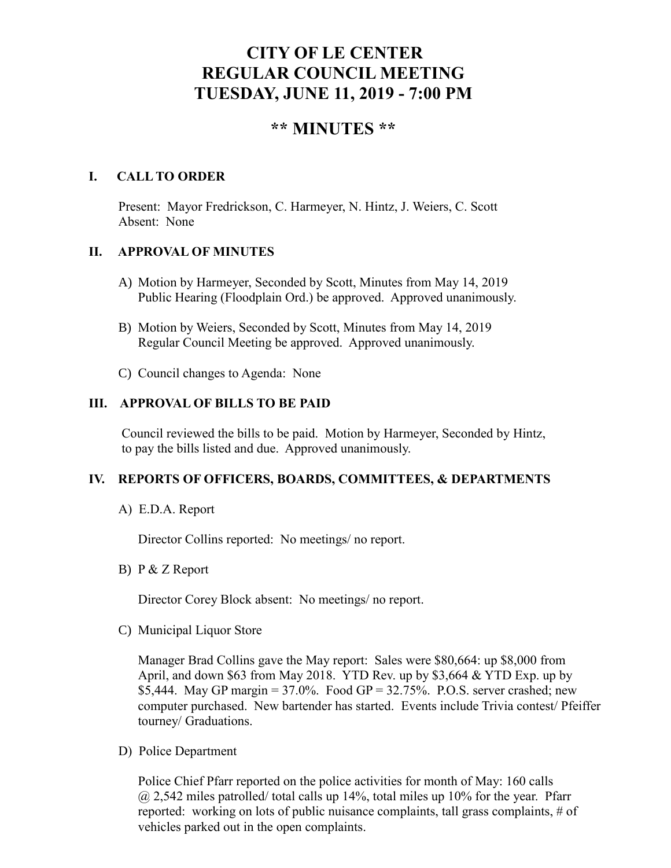# **CITY OF LE CENTER REGULAR COUNCIL MEETING TUESDAY, JUNE 11, 2019 - 7:00 PM**

## **\*\* MINUTES \*\***

#### **I. CALL TO ORDER**

Present: Mayor Fredrickson, C. Harmeyer, N. Hintz, J. Weiers, C. Scott Absent: None

#### **II. APPROVAL OF MINUTES**

- A) Motion by Harmeyer, Seconded by Scott, Minutes from May 14, 2019 Public Hearing (Floodplain Ord.) be approved. Approved unanimously.
- B) Motion by Weiers, Seconded by Scott, Minutes from May 14, 2019 Regular Council Meeting be approved. Approved unanimously.
- C) Council changes to Agenda: None

#### **III. APPROVAL OF BILLS TO BE PAID**

Council reviewed the bills to be paid. Motion by Harmeyer, Seconded by Hintz, to pay the bills listed and due. Approved unanimously.

#### **IV. REPORTS OF OFFICERS, BOARDS, COMMITTEES, & DEPARTMENTS**

A) E.D.A. Report

Director Collins reported: No meetings/ no report.

B) P & Z Report

Director Corey Block absent: No meetings/ no report.

C) Municipal Liquor Store

Manager Brad Collins gave the May report: Sales were \$80,664: up \$8,000 from April, and down \$63 from May 2018. YTD Rev. up by \$3,664 & YTD Exp. up by \$5,444. May GP margin =  $37.0\%$ . Food GP =  $32.75\%$ . P.O.S. server crashed; new computer purchased. New bartender has started. Events include Trivia contest/ Pfeiffer tourney/ Graduations.

D) Police Department

Police Chief Pfarr reported on the police activities for month of May: 160 calls  $(a)$  2,542 miles patrolled/ total calls up 14%, total miles up 10% for the year. Pfarr reported: working on lots of public nuisance complaints, tall grass complaints, # of vehicles parked out in the open complaints.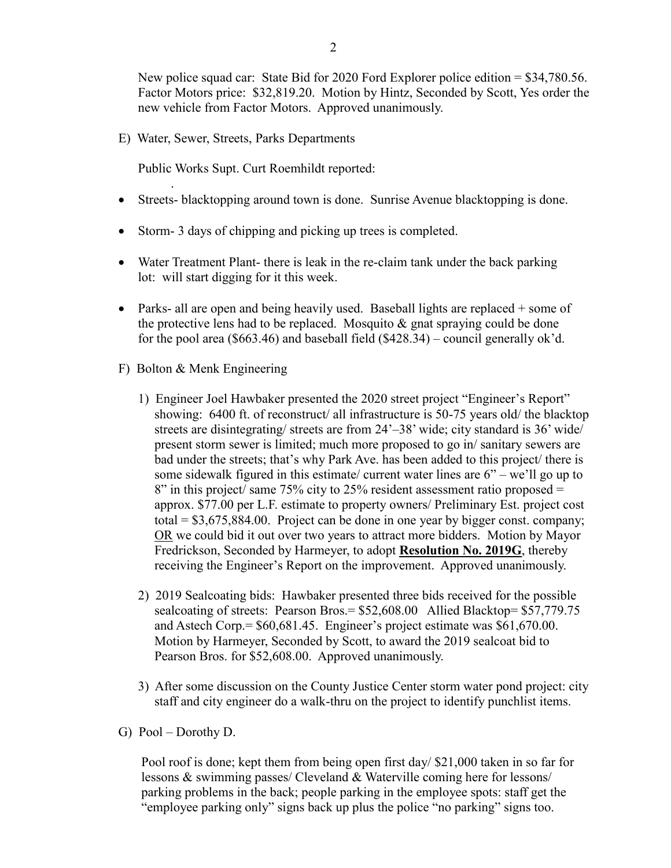New police squad car: State Bid for 2020 Ford Explorer police edition = \$34,780.56. Factor Motors price: \$32,819.20. Motion by Hintz, Seconded by Scott, Yes order the new vehicle from Factor Motors. Approved unanimously.

E) Water, Sewer, Streets, Parks Departments

Public Works Supt. Curt Roemhildt reported:

- Streets- blacktopping around town is done. Sunrise Avenue blacktopping is done.
- Storm-3 days of chipping and picking up trees is completed.
- Water Treatment Plant- there is leak in the re-claim tank under the back parking lot: will start digging for it this week.
- Parks- all are open and being heavily used. Baseball lights are replaced  $+$  some of the protective lens had to be replaced. Mosquito  $\&$  gnat spraying could be done for the pool area (\$663.46) and baseball field (\$428.34) – council generally ok'd.
- F) Bolton & Menk Engineering

.

- 1) Engineer Joel Hawbaker presented the 2020 street project "Engineer's Report" showing: 6400 ft. of reconstruct/ all infrastructure is 50-75 years old/ the blacktop streets are disintegrating/ streets are from 24'–38' wide; city standard is 36' wide/ present storm sewer is limited; much more proposed to go in/ sanitary sewers are bad under the streets; that's why Park Ave. has been added to this project/ there is some sidewalk figured in this estimate/ current water lines are 6" – we'll go up to  $8"$  in this project/ same 75% city to 25% resident assessment ratio proposed = approx. \$77.00 per L.F. estimate to property owners/ Preliminary Est. project cost total =  $$3,675,884.00$ . Project can be done in one year by bigger const. company; OR we could bid it out over two years to attract more bidders. Motion by Mayor Fredrickson, Seconded by Harmeyer, to adopt **Resolution No. 2019G**, thereby receiving the Engineer's Report on the improvement. Approved unanimously.
- 2) 2019 Sealcoating bids: Hawbaker presented three bids received for the possible sealcoating of streets: Pearson Bros. = \$52,608.00 Allied Blacktop= \$57,779.75 and Astech Corp.= \$60,681.45. Engineer's project estimate was \$61,670.00. Motion by Harmeyer, Seconded by Scott, to award the 2019 sealcoat bid to Pearson Bros. for \$52,608.00. Approved unanimously.
- 3) After some discussion on the County Justice Center storm water pond project: city staff and city engineer do a walk-thru on the project to identify punchlist items.
- G) Pool Dorothy D.

 Pool roof is done; kept them from being open first day/ \$21,000 taken in so far for lessons & swimming passes/ Cleveland & Waterville coming here for lessons/ parking problems in the back; people parking in the employee spots: staff get the "employee parking only" signs back up plus the police "no parking" signs too.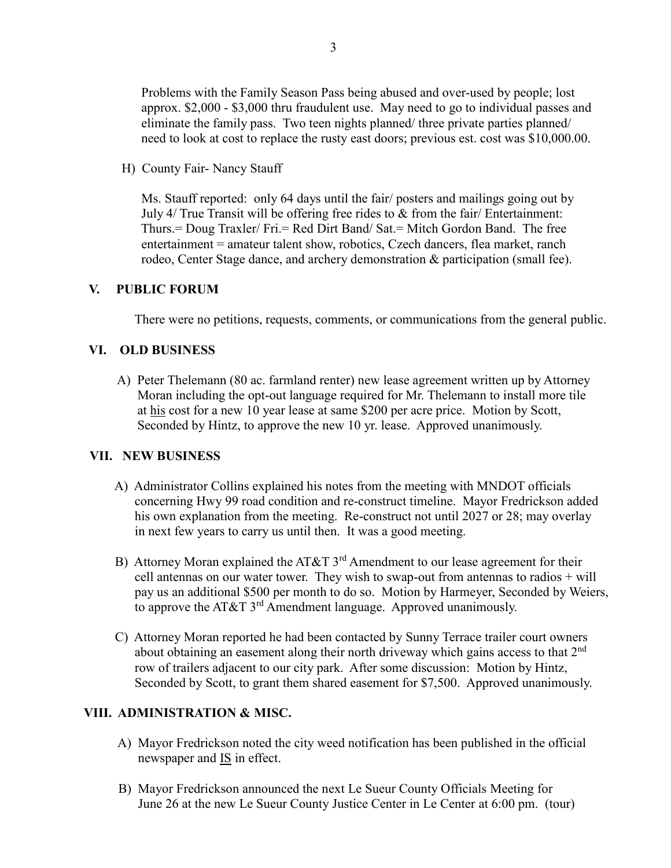3

 Problems with the Family Season Pass being abused and over-used by people; lost approx. \$2,000 - \$3,000 thru fraudulent use. May need to go to individual passes and eliminate the family pass. Two teen nights planned/ three private parties planned/ need to look at cost to replace the rusty east doors; previous est. cost was \$10,000.00.

H) County Fair- Nancy Stauff

 Ms. Stauff reported: only 64 days until the fair/ posters and mailings going out by July 4/ True Transit will be offering free rides to & from the fair/ Entertainment: Thurs.= Doug Traxler/ Fri.= Red Dirt Band/ Sat.= Mitch Gordon Band. The free entertainment = amateur talent show, robotics, Czech dancers, flea market, ranch rodeo, Center Stage dance, and archery demonstration & participation (small fee).

## **V. PUBLIC FORUM**

There were no petitions, requests, comments, or communications from the general public.

## **VI. OLD BUSINESS**

A) Peter Thelemann (80 ac. farmland renter) new lease agreement written up by Attorney Moran including the opt-out language required for Mr. Thelemann to install more tile at his cost for a new 10 year lease at same \$200 per acre price. Motion by Scott, Seconded by Hintz, to approve the new 10 yr. lease. Approved unanimously.

## **VII. NEW BUSINESS**

- A) Administrator Collins explained his notes from the meeting with MNDOT officials concerning Hwy 99 road condition and re-construct timeline. Mayor Fredrickson added his own explanation from the meeting. Re-construct not until 2027 or 28; may overlay in next few years to carry us until then. It was a good meeting.
- B) Attorney Moran explained the AT&T  $3<sup>rd</sup>$  Amendment to our lease agreement for their cell antennas on our water tower. They wish to swap-out from antennas to radios  $+$  will pay us an additional \$500 per month to do so. Motion by Harmeyer, Seconded by Weiers, to approve the AT&T  $3<sup>rd</sup>$  Amendment language. Approved unanimously.
- C) Attorney Moran reported he had been contacted by Sunny Terrace trailer court owners about obtaining an easement along their north driveway which gains access to that 2nd row of trailers adjacent to our city park. After some discussion: Motion by Hintz, Seconded by Scott, to grant them shared easement for \$7,500. Approved unanimously.

## **VIII. ADMINISTRATION & MISC.**

- A) Mayor Fredrickson noted the city weed notification has been published in the official newspaper and  $IS$  in effect.
- B) Mayor Fredrickson announced the next Le Sueur County Officials Meeting for June 26 at the new Le Sueur County Justice Center in Le Center at 6:00 pm. (tour)